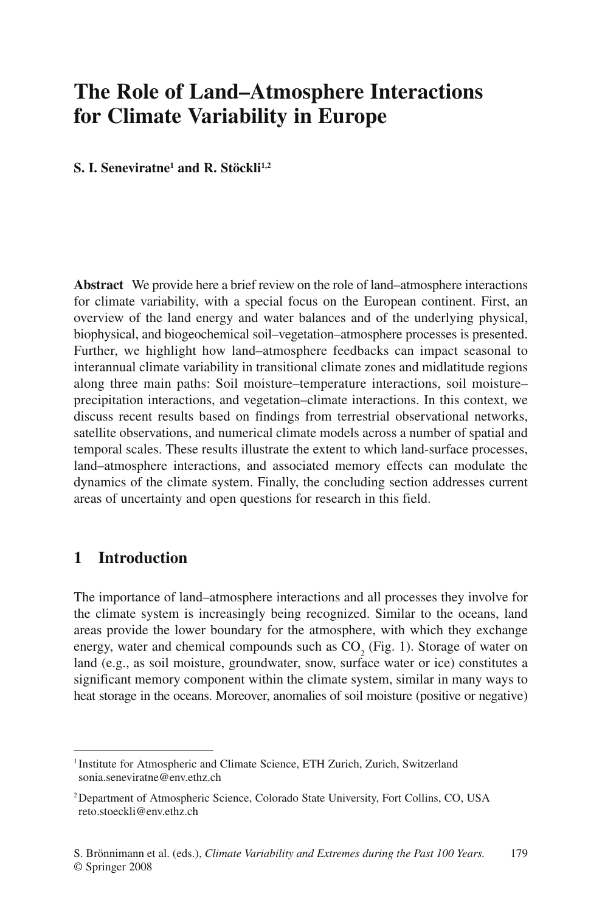# **The Role of Land–Atmosphere Interactions for Climate Variability in Europe**

**S. I. Seneviratne1 and R. Stöckli1,2**

**Abstract** We provide here a brief review on the role of land–atmosphere interactions for climate variability, with a special focus on the European continent. First, an overview of the land energy and water balances and of the underlying physical, biophysical, and biogeochemical soil–vegetation–atmosphere processes is presented. Further, we highlight how land–atmosphere feedbacks can impact seasonal to interannual climate variability in transitional climate zones and midlatitude regions along three main paths: Soil moisture–temperature interactions, soil moisture– precipitation interactions, and vegetation–climate interactions. In this context, we discuss recent results based on findings from terrestrial observational networks, satellite observations, and numerical climate models across a number of spatial and temporal scales. These results illustrate the extent to which land-surface processes, land–atmosphere interactions, and associated memory effects can modulate the dynamics of the climate system. Finally, the concluding section addresses current areas of uncertainty and open questions for research in this field.

## **1 Introduction**

The importance of land–atmosphere interactions and all processes they involve for the climate system is increasingly being recognized. Similar to the oceans, land areas provide the lower boundary for the atmosphere, with which they exchange energy, water and chemical compounds such as  $CO_2$  (Fig. 1). Storage of water on land (e.g., as soil moisture, groundwater, snow, surface water or ice) constitutes a significant memory component within the climate system, similar in many ways to heat storage in the oceans. Moreover, anomalies of soil moisture (positive or negative)

<sup>&</sup>lt;sup>1</sup> Institute for Atmospheric and Climate Science, ETH Zurich, Zurich, Switzerland sonia.seneviratne@env.ethz.ch

<sup>2</sup> Department of Atmospheric Science, Colorado State University, Fort Collins, CO, USA reto.stoeckli@env.ethz.ch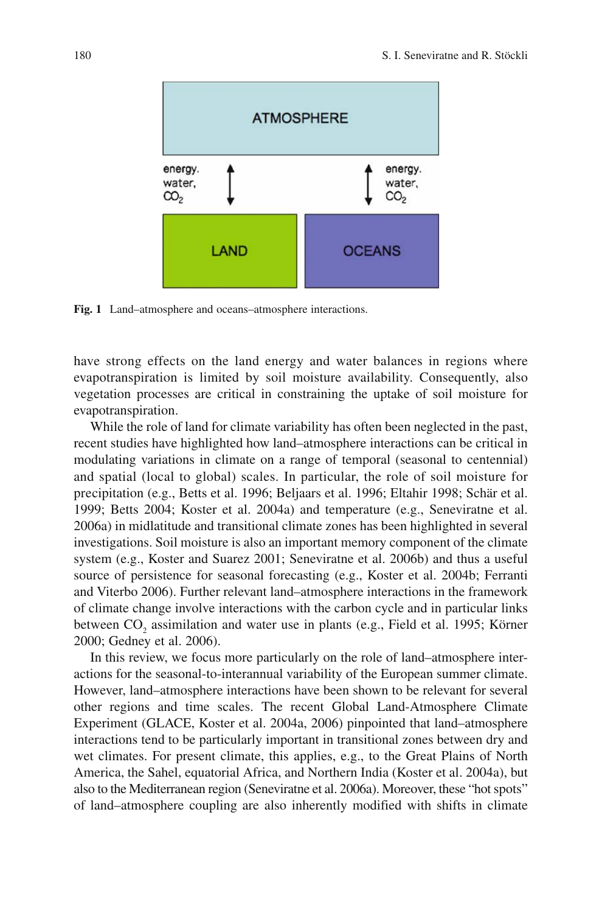

**Fig. 1** Land–atmosphere and oceans–atmosphere interactions.

have strong effects on the land energy and water balances in regions where evapotranspiration is limited by soil moisture availability. Consequently, also vegetation processes are critical in constraining the uptake of soil moisture for evapotranspiration.

While the role of land for climate variability has often been neglected in the past, recent studies have highlighted how land–atmosphere interactions can be critical in modulating variations in climate on a range of temporal (seasonal to centennial) and spatial (local to global) scales. In particular, the role of soil moisture for precipitation (e.g., Betts et al. 1996; Beljaars et al. 1996; Eltahir 1998; Schär et al. 1999; Betts 2004; Koster et al. 2004a) and temperature (e.g., Seneviratne et al. 2006a) in midlatitude and transitional climate zones has been highlighted in several investigations. Soil moisture is also an important memory component of the climate system (e.g., Koster and Suarez 2001; Seneviratne et al. 2006b) and thus a useful source of persistence for seasonal forecasting (e.g., Koster et al. 2004b; Ferranti and Viterbo 2006). Further relevant land–atmosphere interactions in the framework of climate change involve interactions with the carbon cycle and in particular links between  $CO_2$  assimilation and water use in plants (e.g., Field et al. 1995; Körner 2000; Gedney et al. 2006).

In this review, we focus more particularly on the role of land–atmosphere interactions for the seasonal-to-interannual variability of the European summer climate. However, land–atmosphere interactions have been shown to be relevant for several other regions and time scales. The recent Global Land-Atmosphere Climate Experiment (GLACE, Koster et al. 2004a, 2006) pinpointed that land–atmosphere interactions tend to be particularly important in transitional zones between dry and wet climates. For present climate, this applies, e.g., to the Great Plains of North America, the Sahel, equatorial Africa, and Northern India (Koster et al. 2004a), but also to the Mediterranean region (Seneviratne et al. 2006a). Moreover, these "hot spots" of land–atmosphere coupling are also inherently modified with shifts in climate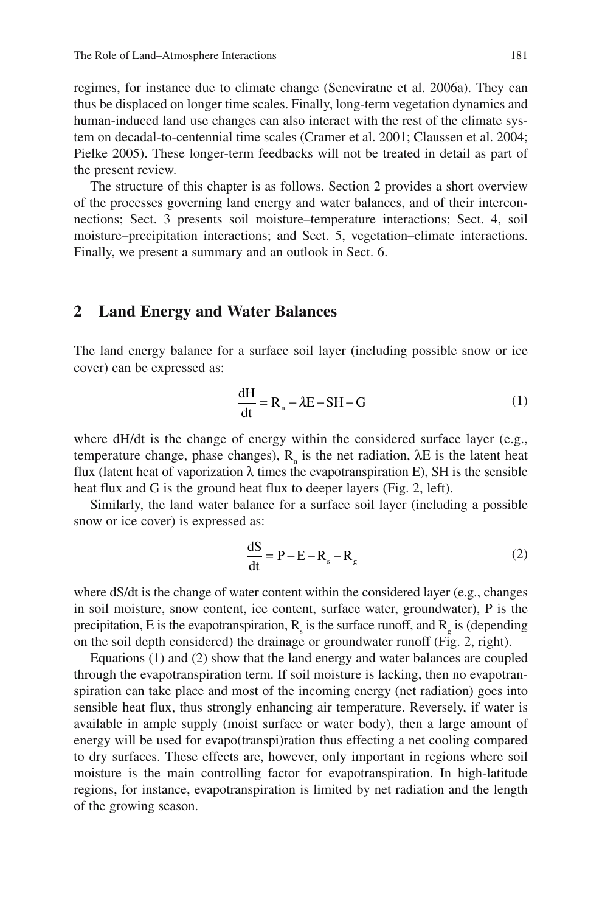regimes, for instance due to climate change (Seneviratne et al. 2006a). They can thus be displaced on longer time scales. Finally, long-term vegetation dynamics and human-induced land use changes can also interact with the rest of the climate system on decadal-to-centennial time scales (Cramer et al. 2001; Claussen et al. 2004; Pielke 2005). These longer-term feedbacks will not be treated in detail as part of the present review.

The structure of this chapter is as follows. Section 2 provides a short overview of the processes governing land energy and water balances, and of their interconnections; Sect. 3 presents soil moisture–temperature interactions; Sect. 4, soil moisture–precipitation interactions; and Sect. 5, vegetation–climate interactions. Finally, we present a summary and an outlook in Sect. 6.

#### **2 Land Energy and Water Balances**

The land energy balance for a surface soil layer (including possible snow or ice cover) can be expressed as:

$$
\frac{dH}{dt} = R_n - \lambda E - SH - G \tag{1}
$$

where dH/dt is the change of energy within the considered surface layer (e.g., temperature change, phase changes),  $R<sub>n</sub>$  is the net radiation,  $\lambda E$  is the latent heat flux (latent heat of vaporization λ times the evapotranspiration E), SH is the sensible heat flux and G is the ground heat flux to deeper layers (Fig. 2, left).

Similarly, the land water balance for a surface soil layer (including a possible snow or ice cover) is expressed as:

$$
\frac{dS}{dt} = P - E - R_s - R_g \tag{2}
$$

where dS/dt is the change of water content within the considered layer (e.g., changes in soil moisture, snow content, ice content, surface water, groundwater), P is the precipitation, E is the evapotranspiration,  $R_s$  is the surface runoff, and  $R_g$  is (depending on the soil depth considered) the drainage or groundwater runoff (Fig. 2, right).

Equations (1) and (2) show that the land energy and water balances are coupled through the evapotranspiration term. If soil moisture is lacking, then no evapotranspiration can take place and most of the incoming energy (net radiation) goes into sensible heat flux, thus strongly enhancing air temperature. Reversely, if water is available in ample supply (moist surface or water body), then a large amount of energy will be used for evapo(transpi)ration thus effecting a net cooling compared to dry surfaces. These effects are, however, only important in regions where soil moisture is the main controlling factor for evapotranspiration. In high-latitude regions, for instance, evapotranspiration is limited by net radiation and the length of the growing season.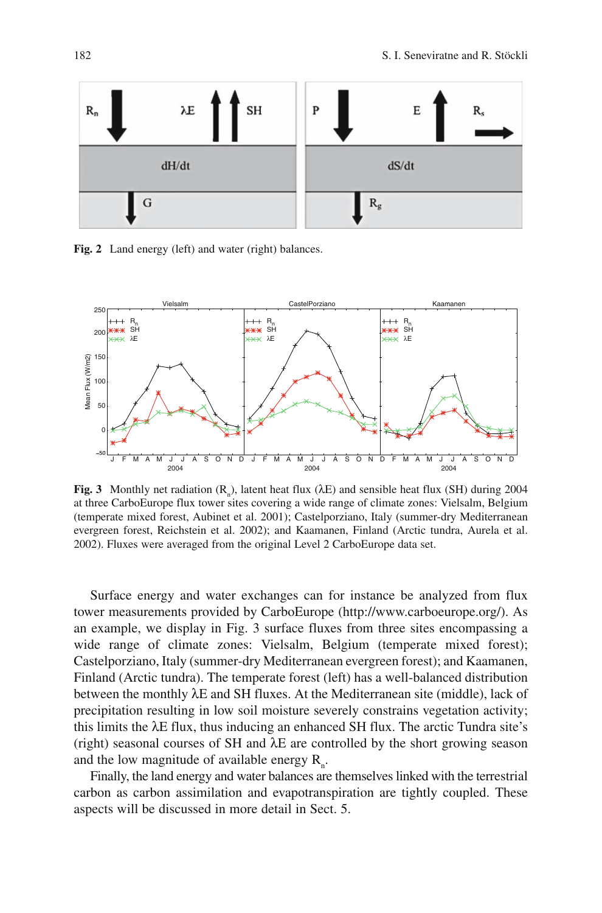

**Fig. 2** Land energy (left) and water (right) balances.



**Fig. 3** Monthly net radiation  $(R_n)$ , latent heat flux ( $\lambda E$ ) and sensible heat flux (SH) during 2004 at three CarboEurope flux tower sites covering a wide range of climate zones: Vielsalm, Belgium (temperate mixed forest, Aubinet et al. 2001); Castelporziano, Italy (summer-dry Mediterranean evergreen forest, Reichstein et al. 2002); and Kaamanen, Finland (Arctic tundra, Aurela et al. 2002). Fluxes were averaged from the original Level 2 CarboEurope data set.

Surface energy and water exchanges can for instance be analyzed from flux tower measurements provided by CarboEurope (http://www.carboeurope.org/). As an example, we display in Fig. 3 surface fluxes from three sites encompassing a wide range of climate zones: Vielsalm, Belgium (temperate mixed forest); Castelporziano, Italy (summer-dry Mediterranean evergreen forest); and Kaamanen, Finland (Arctic tundra). The temperate forest (left) has a well-balanced distribution between the monthly λE and SH fluxes. At the Mediterranean site (middle), lack of precipitation resulting in low soil moisture severely constrains vegetation activity; this limits the λE flux, thus inducing an enhanced SH flux. The arctic Tundra site's (right) seasonal courses of SH and  $\lambda$ E are controlled by the short growing season and the low magnitude of available energy  $R_{n}$ .

Finally, the land energy and water balances are themselves linked with the terrestrial carbon as carbon assimilation and evapotranspiration are tightly coupled. These aspects will be discussed in more detail in Sect. 5.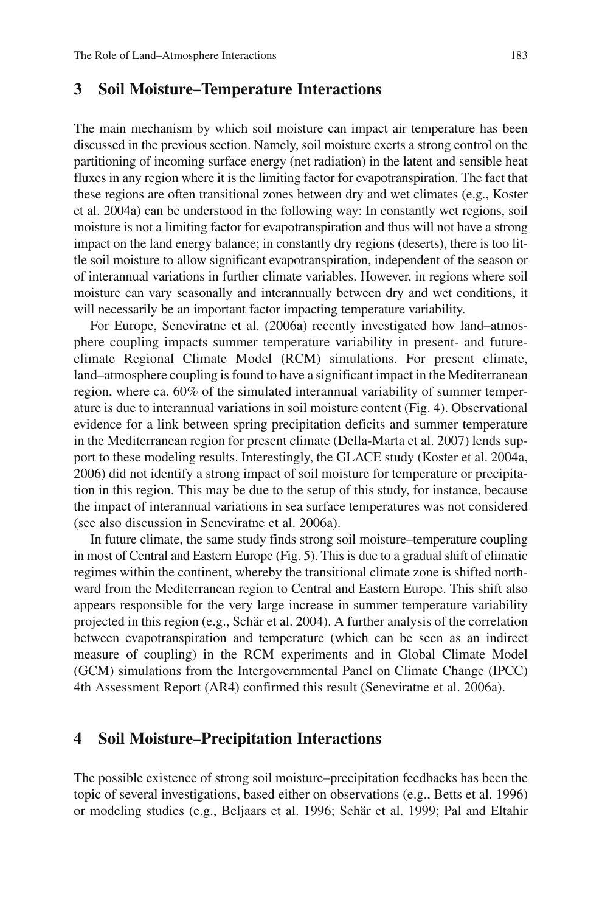#### **3 Soil Moisture–Temperature Interactions**

The main mechanism by which soil moisture can impact air temperature has been discussed in the previous section. Namely, soil moisture exerts a strong control on the partitioning of incoming surface energy (net radiation) in the latent and sensible heat fluxes in any region where it is the limiting factor for evapotranspiration. The fact that these regions are often transitional zones between dry and wet climates (e.g., Koster et al. 2004a) can be understood in the following way: In constantly wet regions, soil moisture is not a limiting factor for evapotranspiration and thus will not have a strong impact on the land energy balance; in constantly dry regions (deserts), there is too little soil moisture to allow significant evapotranspiration, independent of the season or of interannual variations in further climate variables. However, in regions where soil moisture can vary seasonally and interannually between dry and wet conditions, it will necessarily be an important factor impacting temperature variability.

For Europe, Seneviratne et al. (2006a) recently investigated how land–atmosphere coupling impacts summer temperature variability in present- and futureclimate Regional Climate Model (RCM) simulations. For present climate, land–atmosphere coupling is found to have a significant impact in the Mediterranean region, where ca. 60% of the simulated interannual variability of summer temperature is due to interannual variations in soil moisture content (Fig. 4). Observational evidence for a link between spring precipitation deficits and summer temperature in the Mediterranean region for present climate (Della-Marta et al. 2007) lends support to these modeling results. Interestingly, the GLACE study (Koster et al. 2004a, 2006) did not identify a strong impact of soil moisture for temperature or precipitation in this region. This may be due to the setup of this study, for instance, because the impact of interannual variations in sea surface temperatures was not considered (see also discussion in Seneviratne et al. 2006a).

In future climate, the same study finds strong soil moisture–temperature coupling in most of Central and Eastern Europe (Fig. 5). This is due to a gradual shift of climatic regimes within the continent, whereby the transitional climate zone is shifted northward from the Mediterranean region to Central and Eastern Europe. This shift also appears responsible for the very large increase in summer temperature variability projected in this region (e.g., Schär et al. 2004). A further analysis of the correlation between evapotranspiration and temperature (which can be seen as an indirect measure of coupling) in the RCM experiments and in Global Climate Model (GCM) simulations from the Intergovernmental Panel on Climate Change (IPCC) 4th Assessment Report (AR4) confirmed this result (Seneviratne et al. 2006a).

#### **4 Soil Moisture–Precipitation Interactions**

The possible existence of strong soil moisture–precipitation feedbacks has been the topic of several investigations, based either on observations (e.g., Betts et al. 1996) or modeling studies (e.g., Beljaars et al. 1996; Schär et al. 1999; Pal and Eltahir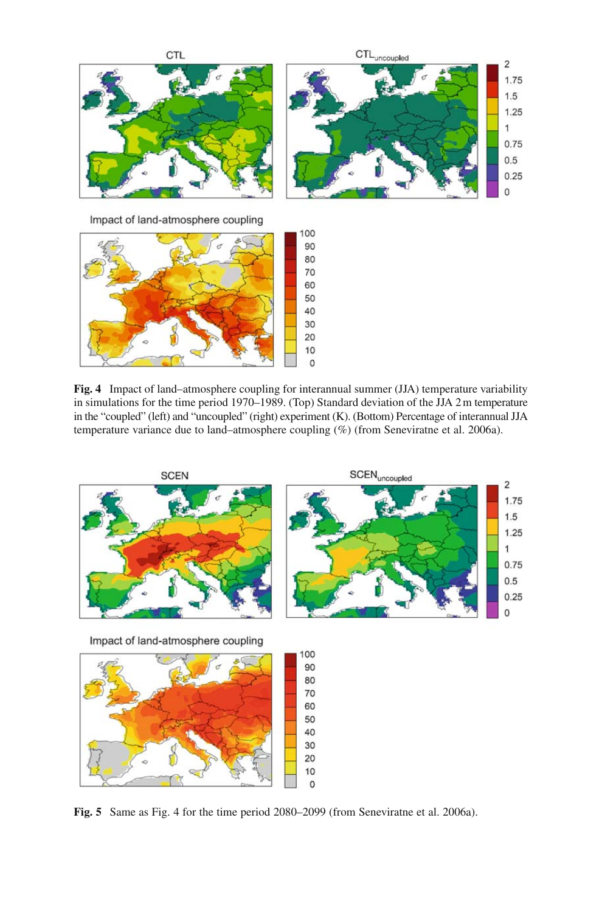

**Fig. 4** Impact of land–atmosphere coupling for interannual summer (JJA) temperature variability in simulations for the time period 1970–1989. (Top) Standard deviation of the JJA 2 m temperature in the "coupled" (left) and "uncoupled" (right) experiment (K). (Bottom) Percentage of interannual JJA temperature variance due to land–atmosphere coupling (%) (from Seneviratne et al. 2006a).



**Fig. 5** Same as Fig. 4 for the time period 2080–2099 (from Seneviratne et al. 2006a).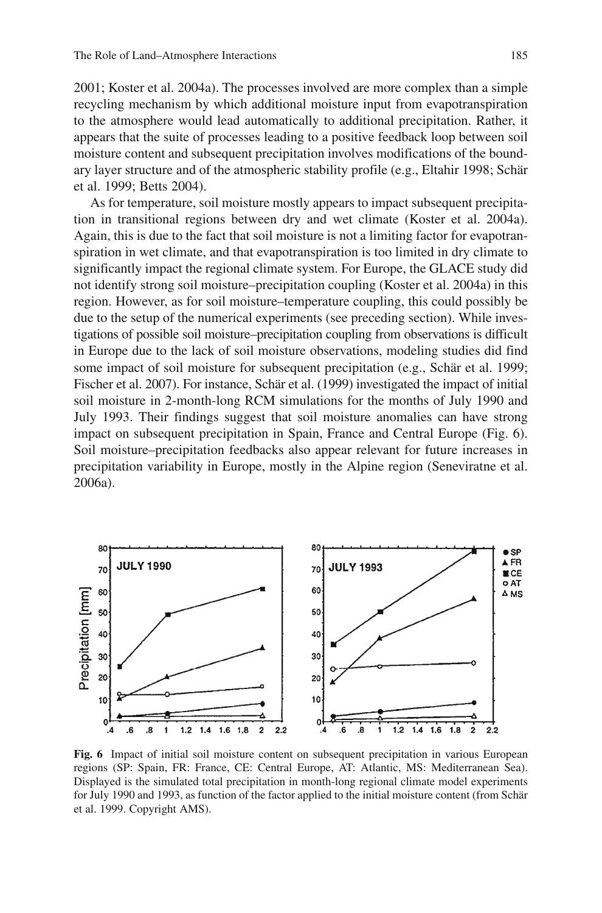2001; Koster et al. 2004a). The processes involved are more complex than a simple recycling mechanism by which additional moisture input from evapotranspiration to the atmosphere would lead automatically to additional precipitation. Rather, it appears that the suite of processes leading to a positive feedback loop between soil moisture content and subsequent precipitation involves modifications of the boundary layer structure and of the atmospheric stability profile (e.g., Eltahir 1998; Schär et al. 1999; Betts 2004).

As for temperature, soil moisture mostly appears to impact subsequent precipitation in transitional regions between dry and wet climate (Koster et al. 2004a). Again, this is due to the fact that soil moisture is not a limiting factor for evapotranspiration in wet climate, and that evapotranspiration is too limited in dry climate to significantly impact the regional climate system. For Europe, the GLACE study did not identify strong soil moisture–precipitation coupling (Koster et al. 2004a) in this region. However, as for soil moisture–temperature coupling, this could possibly be due to the setup of the numerical experiments (see preceding section). While investigations of possible soil moisture–precipitation coupling from observations is difficult in Europe due to the lack of soil moisture observations, modeling studies did find some impact of soil moisture for subsequent precipitation (e.g., Schär et al. 1999; Fischer et al. 2007). For instance, Schär et al. (1999) investigated the impact of initial soil moisture in 2-month-long RCM simulations for the months of July 1990 and July 1993. Their findings suggest that soil moisture anomalies can have strong impact on subsequent precipitation in Spain, France and Central Europe (Fig. 6). Soil moisture–precipitation feedbacks also appear relevant for future increases in precipitation variability in Europe, mostly in the Alpine region (Seneviratne et al. 2006a).



**Fig. 6** Impact of initial soil moisture content on subsequent precipitation in various European regions (SP: Spain, FR: France, CE: Central Europe, AT: Atlantic, MS: Mediterranean Sea). Displayed is the simulated total precipitation in month-long regional climate model experiments for July 1990 and 1993, as function of the factor applied to the initial moisture content (from Schär et al. 1999. Copyright AMS).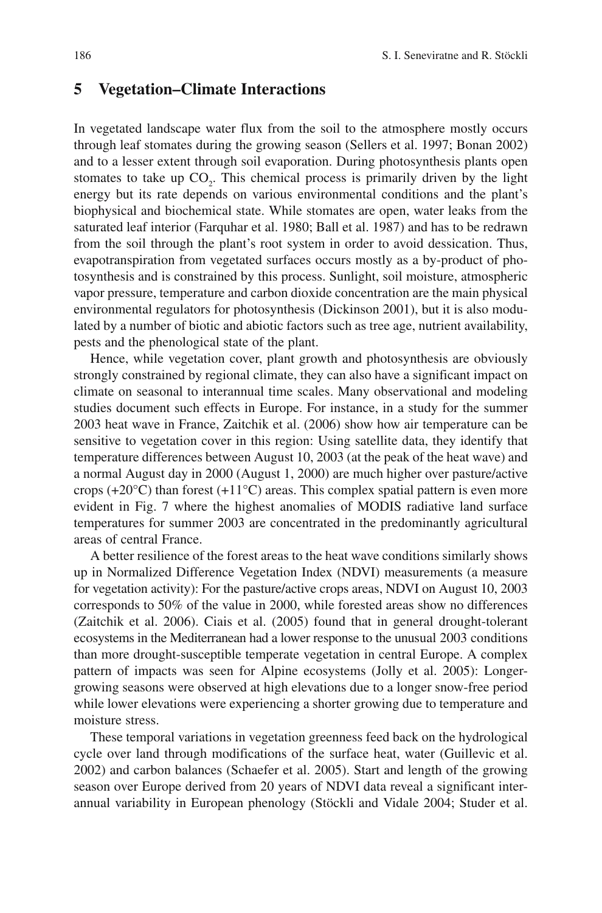#### **5 Vegetation–Climate Interactions**

In vegetated landscape water flux from the soil to the atmosphere mostly occurs through leaf stomates during the growing season (Sellers et al. 1997; Bonan 2002) and to a lesser extent through soil evaporation. During photosynthesis plants open stomates to take up  $CO_2$ . This chemical process is primarily driven by the light energy but its rate depends on various environmental conditions and the plant's biophysical and biochemical state. While stomates are open, water leaks from the saturated leaf interior (Farquhar et al. 1980; Ball et al. 1987) and has to be redrawn from the soil through the plant's root system in order to avoid dessication. Thus, evapotranspiration from vegetated surfaces occurs mostly as a by-product of photosynthesis and is constrained by this process. Sunlight, soil moisture, atmospheric vapor pressure, temperature and carbon dioxide concentration are the main physical environmental regulators for photosynthesis (Dickinson 2001), but it is also modulated by a number of biotic and abiotic factors such as tree age, nutrient availability, pests and the phenological state of the plant.

Hence, while vegetation cover, plant growth and photosynthesis are obviously strongly constrained by regional climate, they can also have a significant impact on climate on seasonal to interannual time scales. Many observational and modeling studies document such effects in Europe. For instance, in a study for the summer 2003 heat wave in France, Zaitchik et al. (2006) show how air temperature can be sensitive to vegetation cover in this region: Using satellite data, they identify that temperature differences between August 10, 2003 (at the peak of the heat wave) and a normal August day in 2000 (August 1, 2000) are much higher over pasture/active crops (+20 $\degree$ C) than forest (+1 $\degree$ C) areas. This complex spatial pattern is even more evident in Fig. 7 where the highest anomalies of MODIS radiative land surface temperatures for summer 2003 are concentrated in the predominantly agricultural areas of central France.

A better resilience of the forest areas to the heat wave conditions similarly shows up in Normalized Difference Vegetation Index (NDVI) measurements (a measure for vegetation activity): For the pasture/active crops areas, NDVI on August 10, 2003 corresponds to 50% of the value in 2000, while forested areas show no differences (Zaitchik et al. 2006). Ciais et al. (2005) found that in general drought-tolerant ecosystems in the Mediterranean had a lower response to the unusual 2003 conditions than more drought-susceptible temperate vegetation in central Europe. A complex pattern of impacts was seen for Alpine ecosystems (Jolly et al. 2005): Longergrowing seasons were observed at high elevations due to a longer snow-free period while lower elevations were experiencing a shorter growing due to temperature and moisture stress.

These temporal variations in vegetation greenness feed back on the hydrological cycle over land through modifications of the surface heat, water (Guillevic et al. 2002) and carbon balances (Schaefer et al. 2005). Start and length of the growing season over Europe derived from 20 years of NDVI data reveal a significant interannual variability in European phenology (Stöckli and Vidale 2004; Studer et al.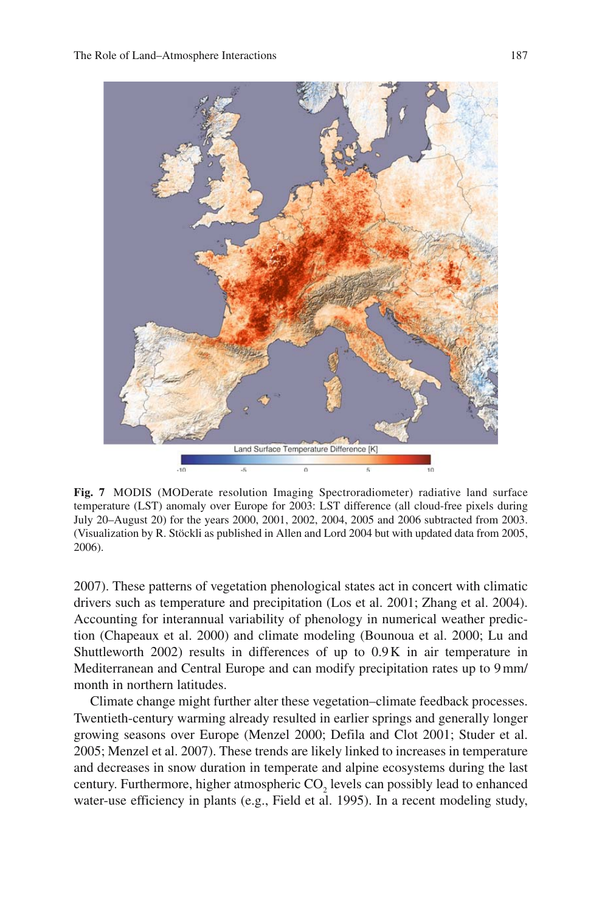

**Fig. 7** MODIS (MODerate resolution Imaging Spectroradiometer) radiative land surface temperature (LST) anomaly over Europe for 2003: LST difference (all cloud-free pixels during July 20–August 20) for the years 2000, 2001, 2002, 2004, 2005 and 2006 subtracted from 2003. (Visualization by R. Stöckli as published in Allen and Lord 2004 but with updated data from 2005, 2006).

2007). These patterns of vegetation phenological states act in concert with climatic drivers such as temperature and precipitation (Los et al. 2001; Zhang et al. 2004). Accounting for interannual variability of phenology in numerical weather prediction (Chapeaux et al. 2000) and climate modeling (Bounoua et al. 2000; Lu and Shuttleworth 2002) results in differences of up to 0.9 K in air temperature in Mediterranean and Central Europe and can modify precipitation rates up to 9 mm/ month in northern latitudes.

Climate change might further alter these vegetation–climate feedback processes. Twentieth-century warming already resulted in earlier springs and generally longer growing seasons over Europe (Menzel 2000; Defila and Clot 2001; Studer et al. 2005; Menzel et al. 2007). These trends are likely linked to increases in temperature and decreases in snow duration in temperate and alpine ecosystems during the last century. Furthermore, higher atmospheric  $CO_2$  levels can possibly lead to enhanced water-use efficiency in plants (e.g., Field et al. 1995). In a recent modeling study,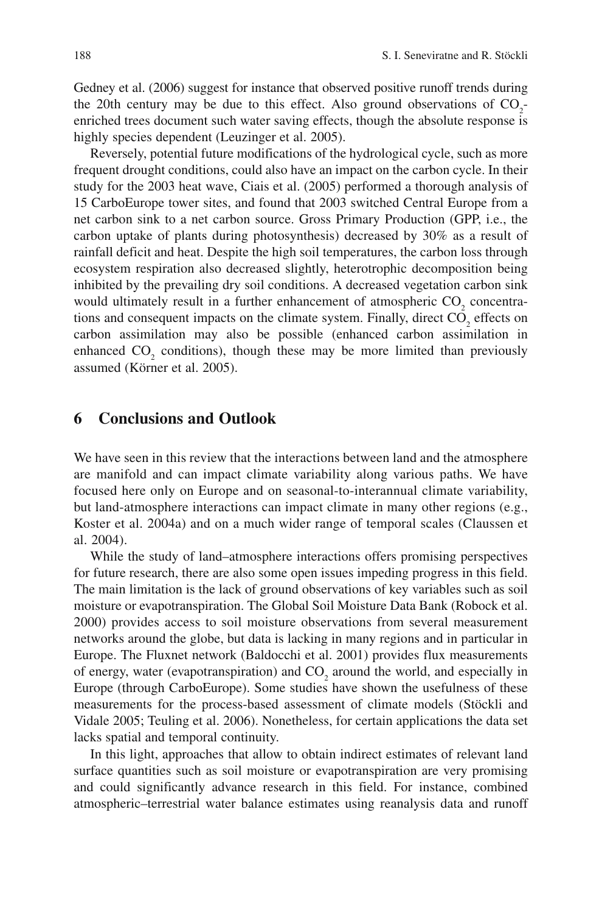Gedney et al. (2006) suggest for instance that observed positive runoff trends during the 20th century may be due to this effect. Also ground observations of  $CO_2$ enriched trees document such water saving effects, though the absolute response is highly species dependent (Leuzinger et al. 2005).

Reversely, potential future modifications of the hydrological cycle, such as more frequent drought conditions, could also have an impact on the carbon cycle. In their study for the 2003 heat wave, Ciais et al. (2005) performed a thorough analysis of 15 CarboEurope tower sites, and found that 2003 switched Central Europe from a net carbon sink to a net carbon source. Gross Primary Production (GPP, i.e., the carbon uptake of plants during photosynthesis) decreased by 30% as a result of rainfall deficit and heat. Despite the high soil temperatures, the carbon loss through ecosystem respiration also decreased slightly, heterotrophic decomposition being inhibited by the prevailing dry soil conditions. A decreased vegetation carbon sink would ultimately result in a further enhancement of atmospheric  $CO<sub>2</sub>$  concentrations and consequent impacts on the climate system. Finally, direct  $CO<sub>2</sub>$  effects on carbon assimilation may also be possible (enhanced carbon assimilation in enhanced  $CO_2$  conditions), though these may be more limited than previously assumed (Körner et al. 2005).

### **6 Conclusions and Outlook**

We have seen in this review that the interactions between land and the atmosphere are manifold and can impact climate variability along various paths. We have focused here only on Europe and on seasonal-to-interannual climate variability, but land-atmosphere interactions can impact climate in many other regions (e.g., Koster et al. 2004a) and on a much wider range of temporal scales (Claussen et al. 2004).

While the study of land–atmosphere interactions offers promising perspectives for future research, there are also some open issues impeding progress in this field. The main limitation is the lack of ground observations of key variables such as soil moisture or evapotranspiration. The Global Soil Moisture Data Bank (Robock et al. 2000) provides access to soil moisture observations from several measurement networks around the globe, but data is lacking in many regions and in particular in Europe. The Fluxnet network (Baldocchi et al. 2001) provides flux measurements of energy, water (evapotranspiration) and  $CO_2$  around the world, and especially in Europe (through CarboEurope). Some studies have shown the usefulness of these measurements for the process-based assessment of climate models (Stöckli and Vidale 2005; Teuling et al. 2006). Nonetheless, for certain applications the data set lacks spatial and temporal continuity.

In this light, approaches that allow to obtain indirect estimates of relevant land surface quantities such as soil moisture or evapotranspiration are very promising and could significantly advance research in this field. For instance, combined atmospheric–terrestrial water balance estimates using reanalysis data and runoff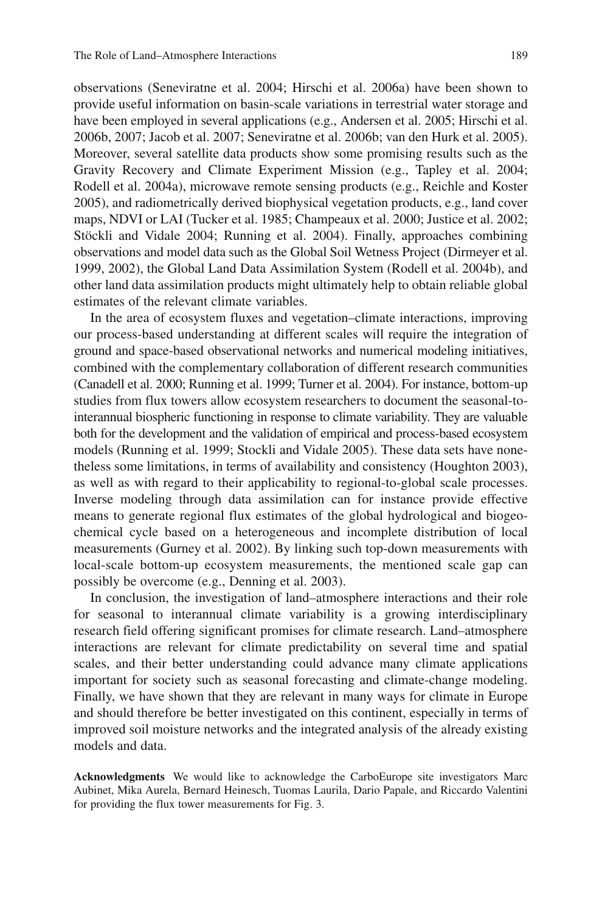observations (Seneviratne et al. 2004; Hirschi et al. 2006a) have been shown to provide useful information on basin-scale variations in terrestrial water storage and have been employed in several applications (e.g., Andersen et al. 2005; Hirschi et al. 2006b, 2007; Jacob et al. 2007; Seneviratne et al. 2006b; van den Hurk et al. 2005). Moreover, several satellite data products show some promising results such as the Gravity Recovery and Climate Experiment Mission (e.g., Tapley et al. 2004; Rodell et al. 2004a), microwave remote sensing products (e.g., Reichle and Koster 2005), and radiometrically derived biophysical vegetation products, e.g., land cover maps, NDVI or LAI (Tucker et al. 1985; Champeaux et al. 2000; Justice et al. 2002; Stöckli and Vidale 2004; Running et al. 2004). Finally, approaches combining observations and model data such as the Global Soil Wetness Project (Dirmeyer et al. 1999, 2002), the Global Land Data Assimilation System (Rodell et al. 2004b), and other land data assimilation products might ultimately help to obtain reliable global estimates of the relevant climate variables.

In the area of ecosystem fluxes and vegetation–climate interactions, improving our process-based understanding at different scales will require the integration of ground and space-based observational networks and numerical modeling initiatives, combined with the complementary collaboration of different research communities (Canadell et al. 2000; Running et al. 1999; Turner et al. 2004). For instance, bottom-up studies from flux towers allow ecosystem researchers to document the seasonal-tointerannual biospheric functioning in response to climate variability. They are valuable both for the development and the validation of empirical and process-based ecosystem models (Running et al. 1999; Stockli and Vidale 2005). These data sets have nonetheless some limitations, in terms of availability and consistency (Houghton 2003), as well as with regard to their applicability to regional-to-global scale processes. Inverse modeling through data assimilation can for instance provide effective means to generate regional flux estimates of the global hydrological and biogeochemical cycle based on a heterogeneous and incomplete distribution of local measurements (Gurney et al. 2002). By linking such top-down measurements with local-scale bottom-up ecosystem measurements, the mentioned scale gap can possibly be overcome (e.g., Denning et al. 2003).

In conclusion, the investigation of land–atmosphere interactions and their role for seasonal to interannual climate variability is a growing interdisciplinary research field offering significant promises for climate research. Land–atmosphere interactions are relevant for climate predictability on several time and spatial scales, and their better understanding could advance many climate applications important for society such as seasonal forecasting and climate-change modeling. Finally, we have shown that they are relevant in many ways for climate in Europe and should therefore be better investigated on this continent, especially in terms of improved soil moisture networks and the integrated analysis of the already existing models and data.

**Acknowledgments** We would like to acknowledge the CarboEurope site investigators Marc Aubinet, Mika Aurela, Bernard Heinesch, Tuomas Laurila, Dario Papale, and Riccardo Valentini for providing the flux tower measurements for Fig. 3.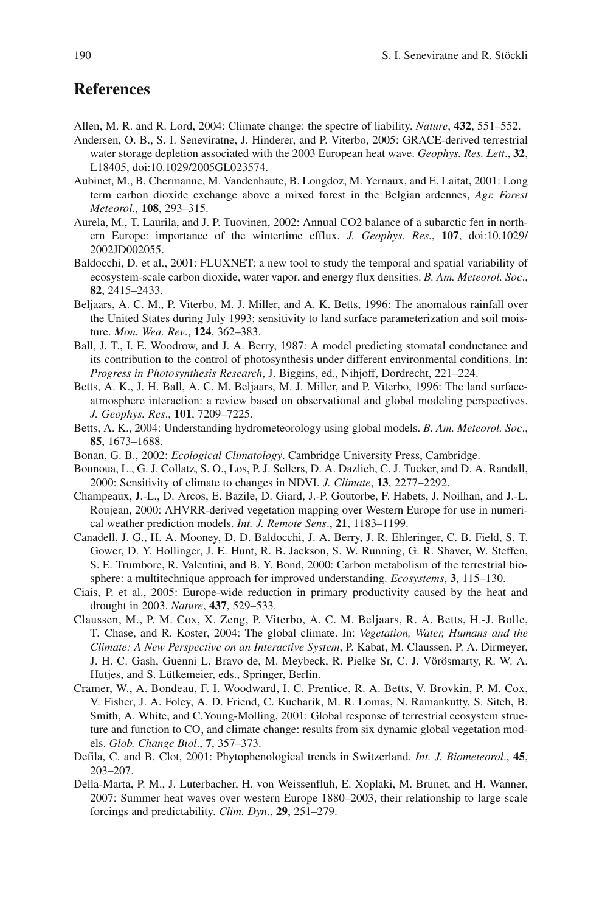#### **References**

- Allen, M. R. and R. Lord, 2004: Climate change: the spectre of liability. *Nature*, **432**, 551–552.
- Andersen, O. B., S. I. Seneviratne, J. Hinderer, and P. Viterbo, 2005: GRACE-derived terrestrial water storage depletion associated with the 2003 European heat wave. *Geophys. Res. Lett*., **32**, L18405, doi:10.1029/2005GL023574.
- Aubinet, M., B. Chermanne, M. Vandenhaute, B. Longdoz, M. Yernaux, and E. Laitat, 2001: Long term carbon dioxide exchange above a mixed forest in the Belgian ardennes, *Agr. Forest Meteorol*., **108**, 293–315.
- Aurela, M., T. Laurila, and J. P. Tuovinen, 2002: Annual CO2 balance of a subarctic fen in northern Europe: importance of the wintertime efflux. *J. Geophys. Res*., **107**, doi:10.1029/ 2002JD002055.
- Baldocchi, D. et al., 2001: FLUXNET: a new tool to study the temporal and spatial variability of ecosystem-scale carbon dioxide, water vapor, and energy flux densities. *B. Am. Meteorol. Soc*., **82**, 2415–2433.
- Beljaars, A. C. M., P. Viterbo, M. J. Miller, and A. K. Betts, 1996: The anomalous rainfall over the United States during July 1993: sensitivity to land surface parameterization and soil moisture. *Mon. Wea. Rev*., **124**, 362–383.
- Ball, J. T., I. E. Woodrow, and J. A. Berry, 1987: A model predicting stomatal conductance and its contribution to the control of photosynthesis under different environmental conditions. In: *Progress in Photosynthesis Research*, J. Biggins, ed., Nihjoff, Dordrecht, 221–224.
- Betts, A. K., J. H. Ball, A. C. M. Beljaars, M. J. Miller, and P. Viterbo, 1996: The land surfaceatmosphere interaction: a review based on observational and global modeling perspectives. *J. Geophys. Res*., **101**, 7209–7225.
- Betts, A. K., 2004: Understanding hydrometeorology using global models. *B. Am. Meteorol. Soc*., **85**, 1673–1688.
- Bonan, G. B., 2002: *Ecological Climatology*. Cambridge University Press, Cambridge.
- Bounoua, L., G. J. Collatz, S. O., Los, P. J. Sellers, D. A. Dazlich, C. J. Tucker, and D. A. Randall, 2000: Sensitivity of climate to changes in NDVI. *J. Climate*, **13**, 2277–2292.
- Champeaux, J.-L., D. Arcos, E. Bazile, D. Giard, J.-P. Goutorbe, F. Habets, J. Noilhan, and J.-L. Roujean, 2000: AHVRR-derived vegetation mapping over Western Europe for use in numerical weather prediction models. *Int. J. Remote Sens*., **21**, 1183–1199.
- Canadell, J. G., H. A. Mooney, D. D. Baldocchi, J. A. Berry, J. R. Ehleringer, C. B. Field, S. T. Gower, D. Y. Hollinger, J. E. Hunt, R. B. Jackson, S. W. Running, G. R. Shaver, W. Steffen, S. E. Trumbore, R. Valentini, and B. Y. Bond, 2000: Carbon metabolism of the terrestrial biosphere: a multitechnique approach for improved understanding. *Ecosystems*, **3**, 115–130.
- Ciais, P. et al., 2005: Europe-wide reduction in primary productivity caused by the heat and drought in 2003. *Nature*, **437**, 529–533.
- Claussen, M., P. M. Cox, X. Zeng, P. Viterbo, A. C. M. Beljaars, R. A. Betts, H.-J. Bolle, T. Chase, and R. Koster, 2004: The global climate. In: *Vegetation, Water, Humans and the Climate: A New Perspective on an Interactive System*, P. Kabat, M. Claussen, P. A. Dirmeyer, J. H. C. Gash, Guenni L. Bravo de, M. Meybeck, R. Pielke Sr, C. J. Vörösmarty, R. W. A. Hutjes, and S. Lütkemeier, eds., Springer, Berlin.
- Cramer, W., A. Bondeau, F. I. Woodward, I. C. Prentice, R. A. Betts, V. Brovkin, P. M. Cox, V. Fisher, J. A. Foley, A. D. Friend, C. Kucharik, M. R. Lomas, N. Ramankutty, S. Sitch, B. Smith, A. White, and C.Young-Molling, 2001: Global response of terrestrial ecosystem structure and function to  $CO_2$  and climate change: results from six dynamic global vegetation models. *Glob. Change Biol*., **7**, 357–373.
- Defila, C. and B. Clot, 2001: Phytophenological trends in Switzerland. *Int. J. Biometeorol*., **45**, 203–207.
- Della-Marta, P. M., J. Luterbacher, H. von Weissenfluh, E. Xoplaki, M. Brunet, and H. Wanner, 2007: Summer heat waves over western Europe 1880–2003, their relationship to large scale forcings and predictability. *Clim. Dyn*., **29**, 251–279.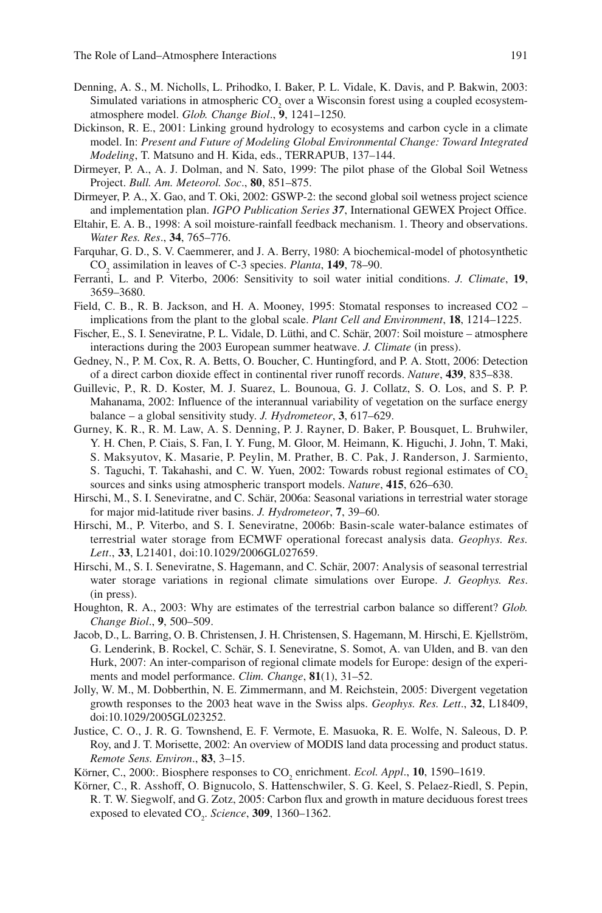- Denning, A. S., M. Nicholls, L. Prihodko, I. Baker, P. L. Vidale, K. Davis, and P. Bakwin, 2003: Simulated variations in atmospheric  $CO_2$  over a Wisconsin forest using a coupled ecosystematmosphere model. *Glob. Change Biol*., **9**, 1241–1250.
- Dickinson, R. E., 2001: Linking ground hydrology to ecosystems and carbon cycle in a climate model. In: *Present and Future of Modeling Global Environmental Change: Toward Integrated Modeling*, T. Matsuno and H. Kida, eds., TERRAPUB, 137–144.
- Dirmeyer, P. A., A. J. Dolman, and N. Sato, 1999: The pilot phase of the Global Soil Wetness Project. *Bull. Am. Meteorol. Soc*., **80**, 851–875.
- Dirmeyer, P. A., X. Gao, and T. Oki, 2002: GSWP-2: the second global soil wetness project science and implementation plan. *IGPO Publication Series 37*, International GEWEX Project Office.
- Eltahir, E. A. B., 1998: A soil moisture-rainfall feedback mechanism. 1. Theory and observations. *Water Res. Res*., **34**, 765–776.
- Farquhar, G. D., S. V. Caemmerer, and J. A. Berry, 1980: A biochemical-model of photosynthetic CO2 assimilation in leaves of C-3 species. *Planta*, **149**, 78–90.
- Ferranti, L. and P. Viterbo, 2006: Sensitivity to soil water initial conditions. *J. Climate*, **19**, 3659–3680.
- Field, C. B., R. B. Jackson, and H. A. Mooney, 1995: Stomatal responses to increased CO2 implications from the plant to the global scale. *Plant Cell and Environment*, **18**, 1214–1225.
- Fischer, E., S. I. Seneviratne, P. L. Vidale, D. Lüthi, and C. Schär, 2007: Soil moisture atmosphere interactions during the 2003 European summer heatwave. *J. Climate* (in press).
- Gedney, N., P. M. Cox, R. A. Betts, O. Boucher, C. Huntingford, and P. A. Stott, 2006: Detection of a direct carbon dioxide effect in continental river runoff records. *Nature*, **439**, 835–838.
- Guillevic, P., R. D. Koster, M. J. Suarez, L. Bounoua, G. J. Collatz, S. O. Los, and S. P. P. Mahanama, 2002: Influence of the interannual variability of vegetation on the surface energy balance – a global sensitivity study. *J. Hydrometeor*, **3**, 617–629.
- Gurney, K. R., R. M. Law, A. S. Denning, P. J. Rayner, D. Baker, P. Bousquet, L. Bruhwiler, Y. H. Chen, P. Ciais, S. Fan, I. Y. Fung, M. Gloor, M. Heimann, K. Higuchi, J. John, T. Maki, S. Maksyutov, K. Masarie, P. Peylin, M. Prather, B. C. Pak, J. Randerson, J. Sarmiento, S. Taguchi, T. Takahashi, and C. W. Yuen, 2002: Towards robust regional estimates of CO<sub>2</sub> sources and sinks using atmospheric transport models. *Nature*, **415**, 626–630.
- Hirschi, M., S. I. Seneviratne, and C. Schär, 2006a: Seasonal variations in terrestrial water storage for major mid-latitude river basins. *J. Hydrometeor*, **7**, 39–60.
- Hirschi, M., P. Viterbo, and S. I. Seneviratne, 2006b: Basin-scale water-balance estimates of terrestrial water storage from ECMWF operational forecast analysis data. *Geophys. Res. Lett*., **33**, L21401, doi:10.1029/2006GL027659.
- Hirschi, M., S. I. Seneviratne, S. Hagemann, and C. Schär, 2007: Analysis of seasonal terrestrial water storage variations in regional climate simulations over Europe. *J. Geophys. Res*. (in press).
- Houghton, R. A., 2003: Why are estimates of the terrestrial carbon balance so different? *Glob. Change Biol*., **9**, 500–509.
- Jacob, D., L. Barring, O. B. Christensen, J. H. Christensen, S. Hagemann, M. Hirschi, E. Kjellström, G. Lenderink, B. Rockel, C. Schär, S. I. Seneviratne, S. Somot, A. van Ulden, and B. van den Hurk, 2007: An inter-comparison of regional climate models for Europe: design of the experiments and model performance. *Clim. Change*, **81**(1), 31–52.
- Jolly, W. M., M. Dobberthin, N. E. Zimmermann, and M. Reichstein, 2005: Divergent vegetation growth responses to the 2003 heat wave in the Swiss alps. *Geophys. Res. Lett*., **32**, L18409, doi:10.1029/2005GL023252.
- Justice, C. O., J. R. G. Townshend, E. F. Vermote, E. Masuoka, R. E. Wolfe, N. Saleous, D. P. Roy, and J. T. Morisette, 2002: An overview of MODIS land data processing and product status. *Remote Sens. Environ*., **83**, 3–15.
- Körner, C., 2000: Biosphere responses to CO<sub>2</sub> enrichment. *Ecol. Appl.*, **10**, 1590–1619.
- Körner, C., R. Asshoff, O. Bignucolo, S. Hattenschwiler, S. G. Keel, S. Pelaez-Riedl, S. Pepin, R. T. W. Siegwolf, and G. Zotz, 2005: Carbon flux and growth in mature deciduous forest trees  $\alpha$  exposed to elevated  $CO_2$ . *Science*, **309**, 1360–1362.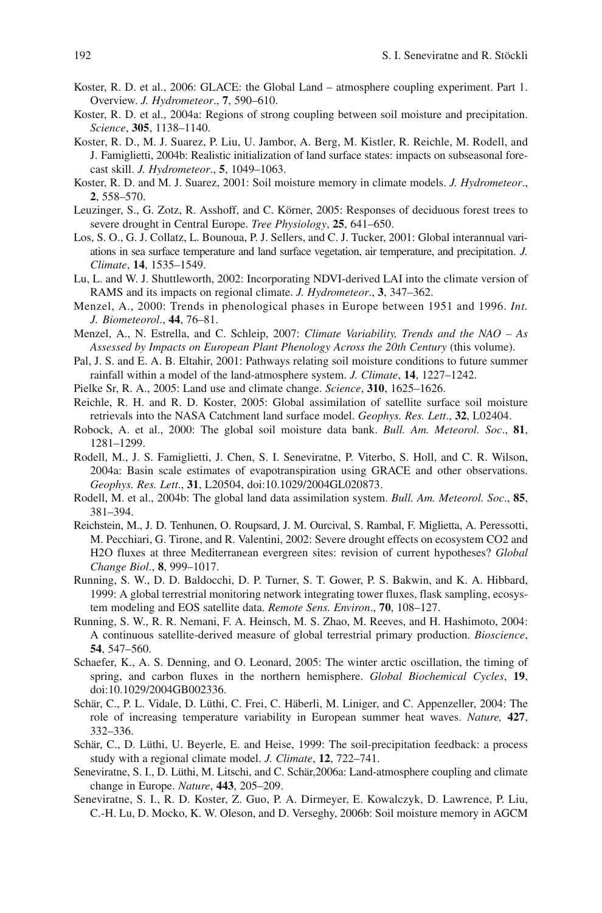- Koster, R. D. et al., 2006: GLACE: the Global Land atmosphere coupling experiment. Part 1. Overview. *J. Hydrometeor*., **7**, 590–610.
- Koster, R. D. et al., 2004a: Regions of strong coupling between soil moisture and precipitation. *Science*, **305**, 1138–1140.
- Koster, R. D., M. J. Suarez, P. Liu, U. Jambor, A. Berg, M. Kistler, R. Reichle, M. Rodell, and J. Famiglietti, 2004b: Realistic initialization of land surface states: impacts on subseasonal forecast skill. *J. Hydrometeor*., **5**, 1049–1063.
- Koster, R. D. and M. J. Suarez, 2001: Soil moisture memory in climate models. *J. Hydrometeor*., **2**, 558–570.
- Leuzinger, S., G. Zotz, R. Asshoff, and C. Körner, 2005: Responses of deciduous forest trees to severe drought in Central Europe. *Tree Physiology*, **25**, 641–650.
- Los, S. O., G. J. Collatz, L. Bounoua, P. J. Sellers, and C. J. Tucker, 2001: Global interannual variations in sea surface temperature and land surface vegetation, air temperature, and precipitation. *J. Climate*, **14**, 1535–1549.
- Lu, L. and W. J. Shuttleworth, 2002: Incorporating NDVI-derived LAI into the climate version of RAMS and its impacts on regional climate. *J. Hydrometeor*., **3**, 347–362.
- Menzel, A., 2000: Trends in phenological phases in Europe between 1951 and 1996. *Int. J. Biometeorol*., **44**, 76–81.
- Menzel, A., N. Estrella, and C. Schleip, 2007: *Climate Variability, Trends and the NAO As Assessed by Impacts on European Plant Phenology Across the 20th Century* (this volume).
- Pal, J. S. and E. A. B. Eltahir, 2001: Pathways relating soil moisture conditions to future summer rainfall within a model of the land-atmosphere system. *J. Climate*, **14**, 1227–1242.
- Pielke Sr, R. A., 2005: Land use and climate change. *Science*, **310**, 1625–1626.
- Reichle, R. H. and R. D. Koster, 2005: Global assimilation of satellite surface soil moisture retrievals into the NASA Catchment land surface model. *Geophys. Res. Lett*., **32**, L02404.
- Robock, A. et al., 2000: The global soil moisture data bank. *Bull. Am. Meteorol. Soc*., **81**, 1281–1299.
- Rodell, M., J. S. Famiglietti, J. Chen, S. I. Seneviratne, P. Viterbo, S. Holl, and C. R. Wilson, 2004a: Basin scale estimates of evapotranspiration using GRACE and other observations. *Geophys. Res. Lett*., **31**, L20504, doi:10.1029/2004GL020873.
- Rodell, M. et al., 2004b: The global land data assimilation system. *Bull. Am. Meteorol. Soc*., **85**, 381–394.
- Reichstein, M., J. D. Tenhunen, O. Roupsard, J. M. Ourcival, S. Rambal, F. Miglietta, A. Peressotti, M. Pecchiari, G. Tirone, and R. Valentini, 2002: Severe drought effects on ecosystem CO2 and H2O fluxes at three Mediterranean evergreen sites: revision of current hypotheses? *Global Change Biol*., **8**, 999–1017.
- Running, S. W., D. D. Baldocchi, D. P. Turner, S. T. Gower, P. S. Bakwin, and K. A. Hibbard, 1999: A global terrestrial monitoring network integrating tower fluxes, flask sampling, ecosystem modeling and EOS satellite data. *Remote Sens. Environ*., **70**, 108–127.
- Running, S. W., R. R. Nemani, F. A. Heinsch, M. S. Zhao, M. Reeves, and H. Hashimoto, 2004: A continuous satellite-derived measure of global terrestrial primary production. *Bioscience*, **54**, 547–560.
- Schaefer, K., A. S. Denning, and O. Leonard, 2005: The winter arctic oscillation, the timing of spring, and carbon fluxes in the northern hemisphere. *Global Biochemical Cycles*, **19**, doi:10.1029/2004GB002336.
- Schär, C., P. L. Vidale, D. Lüthi, C. Frei, C. Häberli, M. Liniger, and C. Appenzeller, 2004: The role of increasing temperature variability in European summer heat waves. *Nature,* **427**, 332–336.
- Schär, C., D. Lüthi, U. Beyerle, E. and Heise, 1999: The soil-precipitation feedback: a process study with a regional climate model. *J. Climate*, **12**, 722–741.
- Seneviratne, S. I., D. Lüthi, M. Litschi, and C. Schär,2006a: Land-atmosphere coupling and climate change in Europe. *Nature*, **443**, 205–209.
- Seneviratne, S. I., R. D. Koster, Z. Guo, P. A. Dirmeyer, E. Kowalczyk, D. Lawrence, P. Liu, C.-H. Lu, D. Mocko, K. W. Oleson, and D. Verseghy, 2006b: Soil moisture memory in AGCM